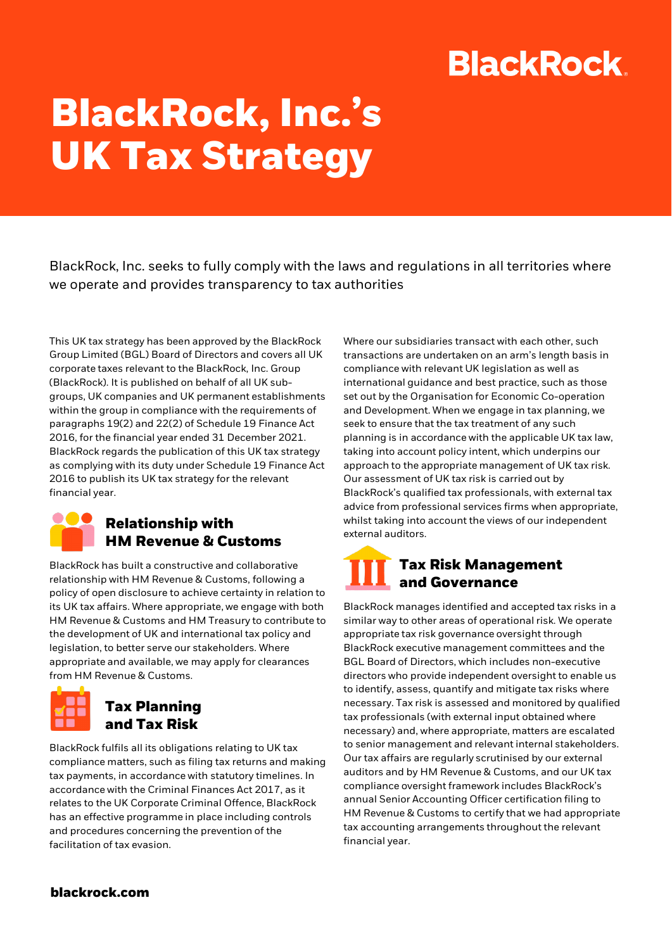## **BlackRock.**

# **BlackRock, Inc.'s UK Tax Strategy**

BlackRock, Inc. seeks to fully comply with the laws and regulations in all territories where we operate and provides transparency to tax authorities

This UK tax strategy has been approved by the BlackRock Group Limited (BGL) Board of Directors and covers all UK corporate taxes relevant to the BlackRock, Inc. Group (BlackRock). It is published on behalf of all UK subgroups, UK companies and UK permanent establishments within the group in compliance with the requirements of paragraphs 19(2) and 22(2) of Schedule 19 Finance Act 2016, for the financial year ended 31 December 2021. BlackRock regards the publication of this UK tax strategy as complying with its duty under Schedule 19 Finance Act 2016 to publish its UK tax strategy for the relevant financial year.

#### **Relationship with HM Revenue & Customs**

BlackRock has built a constructive and collaborative relationship with HM Revenue & Customs, following a policy of open disclosure to achieve certainty in relation to its UK tax affairs. Where appropriate, we engage with both HM Revenue & Customs and HM Treasury to contribute to the development of UK and international tax policy and legislation, to better serve our stakeholders. Where appropriate and available, we may apply for clearances from HM Revenue & Customs.



#### **Tax Planning and Tax Risk**

BlackRock fulfils all its obligations relating to UK tax compliance matters, such as filing tax returns and making tax payments, in accordance with statutory timelines. In accordance with the Criminal Finances Act 2017, as it relates to the UK Corporate Criminal Offence, BlackRock has an effective programme in place including controls and procedures concerning the prevention of the facilitation of tax evasion.

Where our subsidiaries transact with each other, such transactions are undertaken on an arm's length basis in compliance with relevant UK legislation as well as international guidance and best practice, such as those set out by the Organisation for Economic Co-operation and Development. When we engage in tax planning, we seek to ensure that the tax treatment of any such planning is in accordance with the applicable UK tax law, taking into account policy intent, which underpins our approach to the appropriate management of UK tax risk. Our assessment of UK tax risk is carried out by BlackRock's qualified tax professionals, with external tax advice from professional services firms when appropriate, whilst taking into account the views of our independent external auditors.

#### **Tax Risk Management and Governance**

BlackRock manages identified and accepted tax risks in a similar way to other areas of operational risk. We operate appropriate tax risk governance oversight through BlackRock executive management committees and the BGL Board of Directors, which includes non-executive directors who provide independent oversight to enable us to identify, assess, quantify and mitigate tax risks where necessary. Tax risk is assessed and monitored by qualified tax professionals (with external input obtained where necessary) and, where appropriate, matters are escalated to senior management and relevant internal stakeholders. Our tax affairs are regularly scrutinised by our external auditors and by HM Revenue & Customs, and our UK tax compliance oversight framework includes BlackRock's annual Senior Accounting Officer certification filing to HM Revenue & Customs to certify that we had appropriate tax accounting arrangements throughout the relevant financial year.

**blackrock.com**